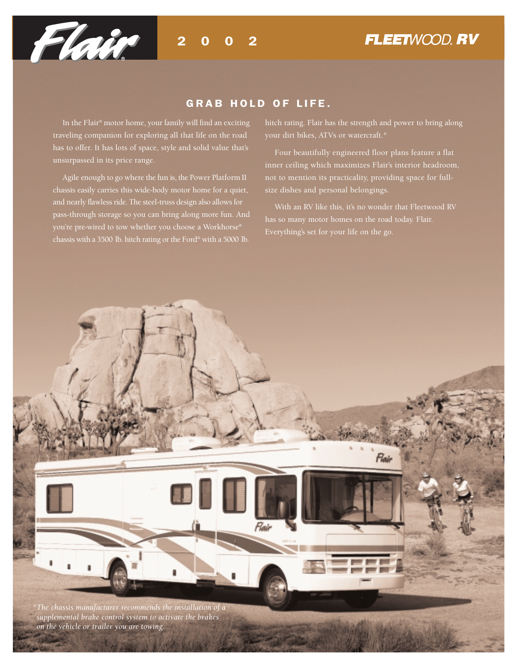

#### GRAB HOLD OF LIFE.

In the Flair® motor home, your family will find an exciting traveling companion for exploring all that life on the road has to offer. It has lots of space, style and solid value that's unsurpassed in its price range.

Agile enough to go where the fun is, the Power Platform II chassis easily carries this wide-body motor home for a quiet, and nearly flawless ride. The steel-truss design also allows for pass-through storage so you can bring along more fun. And chassis with a 3500 lb. hitch rating or the Ford® with a 5000 lb.

hitch rating. Flair has the strength and power to bring along

Four beautifully engineered floor plans feature a flat inner ceiling which maximizes Flair's interior headroom, not to mention its practicality, providing space for fullsize dishes and personal belongings.

With an RV like this, it's no wonder that Fleetwood RV Everything's set for your life on the go.

Flair *\*The chassis manufacturer recommends the installation of a supplemental brake control system to activate the brakes on the vehicle or trailer you are towing.*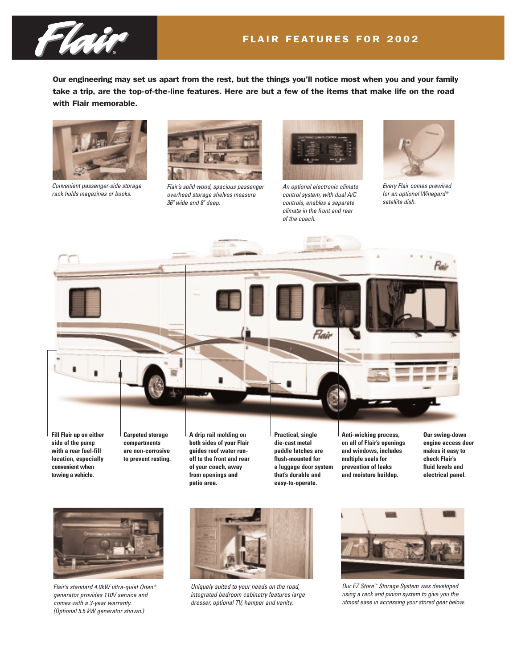

Our engineering may set us apart from the rest, but the things you'll notice most when you and your family take a trip, are the top-of-the-line features. Here are but a few of the items that make life on the road with Flair memorable.



*Convenient passenger-side storage rack holds magazines or books.* 



*Flair's solid wood, spacious passenger overhead storage shelves measure 36" wide and 8" deep.*



*An optional electronic climate control system, with dual A/C controls, enables a separate climate in the front and rear of the coach.*



*Every Flair comes prewired for an optional Winegard ® satellite dish.*



**convenient when towing a vehicle.**

**of your coach, away from openings and patio area.**

**a luggage door system that's durable and easy-to-operate.**

**prevention of leaks and moisture buildup.**

**engine access door makes it easy to fluid levels and electrical panel.**



*Flair's standard 4.0kW ultra-quiet Onan ® generator provides 110V service and comes with a 3-year warranty. (Optional 5.5 kW generator shown.)*



*Uniquely suited to your needs on the road, integrated bedroom cabinetry features large dresser, optional TV, hamper and vanity.*



*Our EZ Store ™ Storage System was developed using a rack and pinion system to give you the utmost ease in accessing your stored gear below.*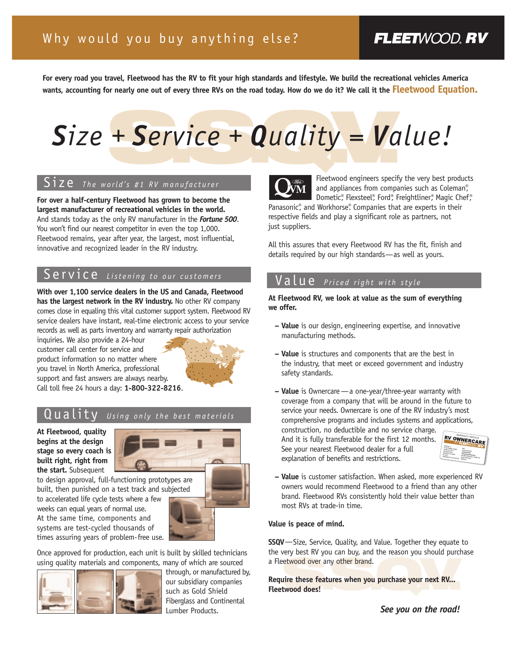## **FLEETWOOD, RV**

**For every road you travel, Fleetwood has the RV to fit your high standards and lifestyle. We build the recreational vehicles America wants, accounting for nearly one out of every three RVs on the road today. How do we do it? We call it the Fleetwood Equation.**

# + Service + Quality = Va *Size + Service + Quality = Value!*

#### Size *The world's #1 RV manufacturer*

**For over a half-century Fleetwood has grown to become the largest manufacturer of recreational vehicles in the world.** And stands today as the only RV manufacturer in the *Fortune 500*. You won't find our nearest competitor in even the top 1,000. Fleetwood remains, year after year, the largest, most influential, innovative and recognized leader in the RV industry.

## Service *Listening to our customers*

**With over 1,100 service dealers in the US and Canada, Fleetwood has the largest network in the RV industry.** No other RV company comes close in equaling this vital customer support system. Fleetwood RV service dealers have instant, real-time electronic access to your service records as well as parts inventory and warranty repair authorization

inquiries. We also provide a 24-hour customer call center for service and product information so no matter where you travel in North America, professional support and fast answers are always nearby. Call toll free 24 hours a day: **1-800-322-8216**.



#### $\mathcal{L} \cup \mathcal{L} \cup \mathcal{L} \cup \mathcal{L} \cup \mathcal{L} \cup \mathcal{L} \cup \mathcal{L} \cup \mathcal{L} \cup \mathcal{L} \cup \mathcal{L} \cup \mathcal{L} \cup \mathcal{L} \cup \mathcal{L} \cup \mathcal{L} \cup \mathcal{L} \cup \mathcal{L} \cup \mathcal{L} \cup \mathcal{L} \cup \mathcal{L} \cup \mathcal{L} \cup \mathcal{L} \cup \mathcal{L} \cup \mathcal{L} \cup \mathcal{L} \cup \mathcal{L} \cup \mathcal{L} \cup \mathcal{L} \cup \mathcal{$

**At Fleetwood, quality begins at the design stage so every coach is built right, right from the start.** Subsequent



built, then punished on a test track and subjected to accelerated life cycle tests where a few weeks can equal years of normal use.

At the same time, components and systems are test-cycled thousands of times assuring years of problem-free use.

Once approved for production, each unit is built by skilled technicians using quality materials and components, many of which are sourced



through, or manufactured by, our subsidiary companies such as Gold Shield Fiberglass and Continental Lumber Products.



Fleetwood engineers specify the very best products and appliances from companies such as Coleman®, Dometic®, Flexsteel®, Ford®, Freightliner®, Magic Chef®

Panasonic<sup>®</sup>, and Workhorse® Companies that are experts in their respective fields and play a significant role as partners, not just suppliers.

All this assures that every Fleetwood RV has the fit, finish and details required by our high standards—as well as yours.

#### Value *Priced right with style*

**At Fleetwood RV, we look at value as the sum of everything we offer.** 

- **Value** is our design, engineering expertise, and innovative manufacturing methods.
- **Value** is structures and components that are the best in the industry, that meet or exceed government and industry safety standards.
- **Value** is Ownercare—a one-year/three-year warranty with coverage from a company that will be around in the future to service your needs. Ownercare is one of the RV industry's most comprehensive programs and includes systems and applications,

construction, no deductible and no service charge. And it is fully transferable for the first 12 months. See your nearest Fleetwood dealer for a full explanation of benefits and restrictions.



**– Value** is customer satisfaction. When asked, more experienced RV owners would recommend Fleetwood to a friend than any other brand. Fleetwood RVs consistently hold their value better than most RVs at trade-in time.

#### **Value is peace of mind.**

**SSQV**—Size, Service, Quality, and Value. Together they equate to the very best RV you can buy, and the reason you should purchase a Fleetwood over any other brand.

etwood over any other brand.<br> **S.S. A.S.** when you purchase your next RV...<br> **S.S. A.S. Example 2018 Require these features when you purchase your next RV... Fleetwood does!**

*See you on the road!*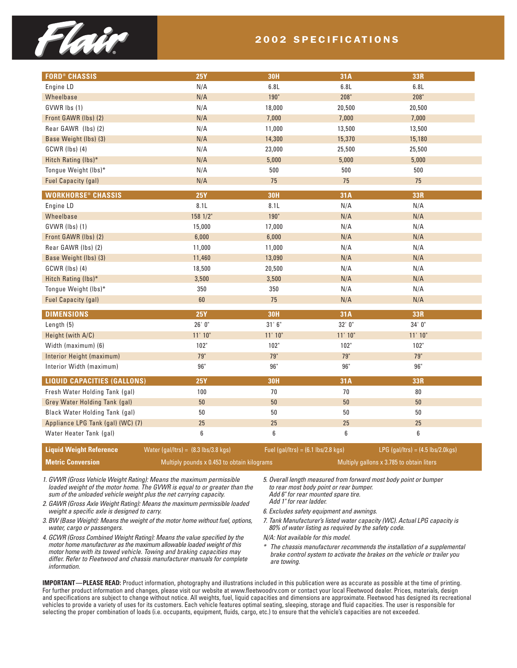

#### 2002 SPECIFICATIONS

| <b>FORD® CHASSIS</b>                 | <b>25Y</b> | <b>30H</b> | 31A     | 33R     |
|--------------------------------------|------------|------------|---------|---------|
| Engine LD                            | N/A        | 6.8L       | 6.8L    | 6.8L    |
| Wheelbase                            | N/A        | $190"$     | 208"    | 208"    |
| GVWR lbs (1)                         | N/A        | 18,000     | 20,500  | 20,500  |
| Front GAWR (lbs) (2)                 | N/A        | 7,000      | 7,000   | 7,000   |
| Rear GAWR (lbs) (2)                  | N/A        | 11,000     | 13,500  | 13,500  |
| Base Weight (lbs) (3)                | N/A        | 14,300     | 15,370  | 15,180  |
| GCWR (lbs) (4)                       | N/A        | 23,000     | 25,500  | 25,500  |
| Hitch Rating (lbs)*                  | N/A        | 5,000      | 5,000   | 5,000   |
| Tongue Weight (lbs)*                 | N/A        | 500        | 500     | 500     |
| <b>Fuel Capacity (gal)</b>           | N/A        | 75         | 75      | 75      |
| <b>WORKHORSE<sup>®</sup> CHASSIS</b> | <b>25Y</b> | <b>30H</b> | 31A     | 33R     |
| Engine LD                            | 8.1L       | 8.1L       | N/A     | N/A     |
| Wheelbase                            | 158 1/2"   | 190"       | N/A     | N/A     |
| GVWR (lbs) (1)                       | 15,000     | 17,000     | N/A     | N/A     |
| Front GAWR (lbs) (2)                 | 6,000      | 6,000      | N/A     | N/A     |
| Rear GAWR (Ibs) (2)                  | 11,000     | 11,000     | N/A     | N/A     |
| Base Weight (lbs) (3)                | 11,460     | 13,090     | N/A     | N/A     |
| GCWR (lbs) (4)                       | 18,500     | 20,500     | N/A     | N/A     |
| Hitch Rating (lbs)*                  | 3,500      | 3,500      | N/A     | N/A     |
| Tongue Weight (lbs)*                 | 350        | 350        | N/A     | N/A     |
| Fuel Capacity (gal)                  | 60         | 75         | N/A     | N/A     |
| <b>DIMENSIONS</b>                    | <b>25Y</b> | <b>30H</b> | 31A     | 33R     |
| Length (5)                           | 26'0''     | 31'6''     | 32'0''  | 34'0''  |
| Height (with A/C)                    | 11' 10''   | 11'10''    | 11'10'' | 11' 10" |
| Width (maximum) (6)                  | 102"       | 102"       | 102"    | 102"    |
| Interior Height (maximum)            | 79"        | 79"        | 79"     | 79"     |
| Interior Width (maximum)             | $96"$      | $96"$      | $96"$   | $96"$   |
| <b>LIQUID CAPACITIES (GALLONS)</b>   | <b>25Y</b> | <b>30H</b> | 31A     | 33R     |
| Fresh Water Holding Tank (gal)       | 100        | 70         | $70\,$  | $80\,$  |
| Grey Water Holding Tank (gal)        | $50\,$     | $50\,$     | $50\,$  | $50\,$  |
| Black Water Holding Tank (gal)       | 50         | 50         | 50      | $50\,$  |
| Appliance LPG Tank (gal) (WC) (7)    | 25         | 25         | 25      | 25      |
| Water Heater Tank (gal)              | 6          | 6          | 6       | 6       |

**Liquid Weight Reference** Water (gal/ltrs) = (8.3 lbs/3.8 kgs) Fuel (gal/ltrs) = (6.1 lbs/2.8 kgs) LPG (gal/ltrs) = (4.5 lbs/2.0kgs) **Metric Conversion** Multiply pounds x 0.453 to obtain kilograms Multiply gallons x 3.785 to obtain liters

*1. GVWR (Gross Vehicle Weight Rating): Means the maximum permissible loaded weight of the motor home. The GVWR is equal to or greater than the sum of the unloaded vehicle weight plus the net carrying capacity.*

*2. GAWR (Gross Axle Weight Rating): Means the maximum permissible loaded weight a specific axle is designed to carry.*

*3. BW (Base Weight): Means the weight of the motor home without fuel, options, water, cargo or passengers.*

*4. GCWR (Gross Combined Weight Rating): Means the value specified by the motor home manufacturer as the maximum allowable loaded weight of this motor home with its towed vehicle. Towing and braking capacities may differ. Refer to Fleetwood and chassis manufacturer manuals for complete information.*

*5. Overall length measured from forward most body point or bumper to rear most body point or rear bumper. Add 6" for rear mounted spare tire. Add 1" for rear ladder.* 

*6. Excludes safety equipment and awnings.*

*7. Tank Manufacturer's listed water capacity (WC). Actual LPG capacity is 80% of water listing as required by the safety code.*

*N/A: Not available for this model.*

*\* The chassis manufacturer recommends the installation of a supplemental brake control system to activate the brakes on the vehicle or trailer you are towing.*

**IMPORTANT—PLEASE READ:** Product information, photography and illustrations included in this publication were as accurate as possible at the time of printing. For further product information and changes, please visit our website at www.fleetwoodrv.com or contact your local Fleetwood dealer. Prices, materials, design and specifications are subject to change without notice. All weights, fuel, liquid capacities and dimensions are approximate. Fleetwood has designed its recreational vehicles to provide a variety of uses for its customers. Each vehicle features optimal seating, sleeping, storage and fluid capacities. The user is responsible for selecting the proper combination of loads (i.e. occupants, equipment, fluids, cargo, etc.) to ensure that the vehicle's capacities are not exceeded.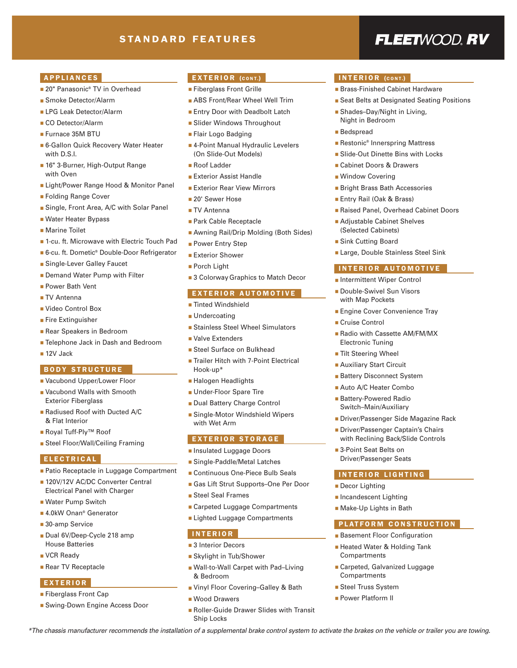#### STANDARD FEATURES

## FLEETWOOD, RV

#### APPLIANCES

- 20" Panasonic<sup>®</sup> TV in Overhead
- Smoke Detector/Alarm
- LPG Leak Detector/Alarm
- CO Detector/Alarm
- Furnace 35M BTU
- 6-Gallon Quick Recovery Water Heater with D.S.I.
- 16" 3-Burner, High-Output Range with Oven
- Light/Power Range Hood & Monitor Panel
- Folding Range Cover
- Single, Front Area, A/C with Solar Panel
- Water Heater Bypass
- Marine Toilet
- 1-cu. ft. Microwave with Electric Touch Pad
- 6-cu. ft. Dometic® Double-Door Refrigerator
- Single-Lever Galley Faucet
- Demand Water Pump with Filter
- Power Bath Vent
- TV Antenna
- Video Control Box
- Fire Extinguisher
- Rear Speakers in Bedroom
- Telephone Jack in Dash and Bedroom
- 12V Jack

#### BODY STRUCTURE

- Vacubond Upper/Lower Floor
- Vacubond Walls with Smooth Exterior Fiberglass
- Radiused Roof with Ducted A/C & Flat Interior
- Royal Tuff-Ply<sup>™</sup> Roof
- Steel Floor/Wall/Ceiling Framing

#### ELECTRICAL

- Patio Receptacle in Luggage Compartment
- 120V/12V AC/DC Converter Central Electrical Panel with Charger
- Water Pump Switch
- 4.0kW Onan<sup>®</sup> Generator
- 30-amp Service
- Dual 6V/Deep-Cycle 218 amp House Batteries
- VCR Ready
- Rear TV Receptacle

#### EXTERIOR

- Fiberglass Front Cap
- Swing-Down Engine Access Door

#### EXTERIOR (CONT.)

- Fiberglass Front Grille
- ABS Front/Rear Wheel Well Trim
- Entry Door with Deadbolt Latch
- Slider Windows Throughout
- Flair Logo Badging
- 4-Point Manual Hydraulic Levelers (On Slide-Out Models)
- Roof Ladder
- Exterior Assist Handle
- Exterior Rear View Mirrors
- 20' Sewer Hose
- TV Antenna
- Park Cable Receptacle
- Awning Rail/Drip Molding (Both Sides)
- Power Entry Step
- Exterior Shower
- Porch Light
- 3 Colorway Graphics to Match Decor

#### EXTERIOR AUTOMOTIVE

- Tinted Windshield
- Undercoating
- Stainless Steel Wheel Simulators
- Valve Extenders
- Steel Surface on Bulkhead
- Trailer Hitch with 7-Point Electrical Hook-up\*
- Halogen Headlights
- Under-Floor Spare Tire
- Dual Battery Charge Control
- Single-Motor Windshield Wipers with Wet Arm

#### EXTERIOR STORAGE

- Insulated Luggage Doors
- Single-Paddle/Metal Latches
- Continuous One-Piece Bulb Seals
- Gas Lift Strut Supports–One Per Door
- Steel Seal Frames
- Carpeted Luggage Compartments
- Lighted Luggage Compartments

#### INTERIOR

- 3 Interior Decors
- Skylight in Tub/Shower
- Wall-to-Wall Carpet with Pad–Living & Bedroom
- Vinyl Floor Covering–Galley & Bath
- Wood Drawers
- Roller-Guide Drawer Slides with Transit Ship Locks

*\*The chassis manufacturer recommends the installation of a supplemental brake control system to activate the brakes on the vehicle or trailer you are towing.*

#### INTERIOR (CONT.)

- Brass-Finished Cabinet Hardware
- Seat Belts at Designated Seating Positions
- Shades-Day/Night in Living, Night in Bedroom
- Bedspread
- Restonic<sup>®</sup> Innerspring Mattress
- Slide-Out Dinette Bins with Locks
- Cabinet Doors & Drawers
- Window Covering
- Bright Brass Bath Accessories

■ Adjustable Cabinet Shelves (Selected Cabinets) ■ Sink Cutting Board

- Entry Rail (Oak & Brass)
- Raised Panel, Overhead Cabinet Doors

■ Large, Double Stainless Steel Sink INTERIOR AUTOMOTIVE ■ Intermittent Wiper Control ■ Double-Swivel Sun Visors with Map Pockets

■ Engine Cover Convenience Tray

■ Radio with Cassette AM/FM/MX

■ Driver/Passenger Side Magazine Rack ■ Driver/Passenger Captain's Chairs with Reclining Back/Slide Controls

PLATFORM CONSTRUCTION ■ Basement Floor Configuration ■ Heated Water & Holding Tank

■ Carpeted, Galvanized Luggage

■ Cruise Control

Electronic Tuning ■ Tilt Steering Wheel ■ Auxiliary Start Circuit ■ Battery Disconnect System ■ Auto A/C Heater Combo ■ Battery-Powered Radio Switch–Main/Auxiliary

■ 3-Point Seat Belts on Driver/Passenger Seats INTERIOR LIGHTING

■ Decor Lighting ■ Incandescent Lighting ■ Make-Up Lights in Bath

Compartments

Compartments ■ Steel Truss System ■ Power Platform II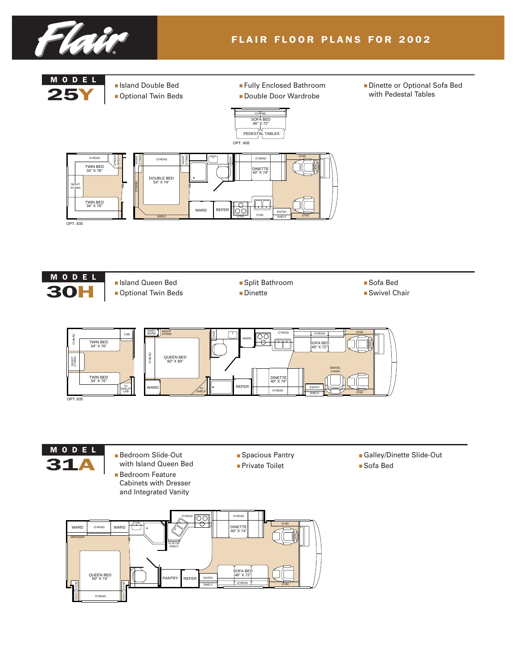





- 
- Split Bathroom ■ Dinette
- Sofa Bed
- Swivel Chair





- Bedroom Slide-Out with Island Queen Bed ■ Bedroom Feature
	- Cabinets with Dresser and Integrated Vanity
- Spacious Pantry ■ Private Toilet
- Galley/Dinette Slide-Out
- Sofa Bed

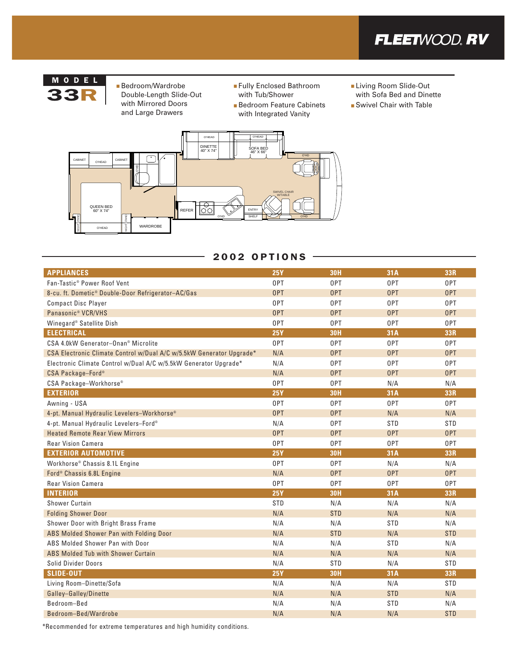



- Bedroom/Wardrobe<br>33R Double-Length Slide Double-Length Slide-Out with Mirrored Doors and Large Drawers
- Fully Enclosed Bathroom with Tub/Shower
- Bedroom Feature Cabinets with Integrated Vanity
- Living Room Slide-Out with Sofa Bed and Dinette
- Swivel Chair with Table



#### 2002 OPTIONS

| <b>APPLIANCES</b>                                                    | <b>25Y</b> | <b>30H</b> | 31A        | 33R        |
|----------------------------------------------------------------------|------------|------------|------------|------------|
| Fan-Tastic <sup>®</sup> Power Roof Vent                              |            | 0PT        | 0PT        | 0PT        |
| 8-cu. ft. Dometic® Double-Door Refrigerator-AC/Gas                   | 0PT        | 0PT        | 0PT        | 0PT        |
| <b>Compact Disc Player</b>                                           | 0PT        | 0PT        | 0PT        | 0PT        |
| Panasonic <sup>®</sup> VCR/VHS                                       | <b>OPT</b> | <b>OPT</b> | 0PT        | <b>OPT</b> |
| Winegard® Satellite Dish                                             | 0PT        | 0PT        | 0PT        | 0PT        |
| <b>ELECTRICAL</b>                                                    | <b>25Y</b> | <b>30H</b> | 31A        | 33R        |
| CSA 4.0kW Generator-Onan <sup>®</sup> Microlite                      | 0PT        | 0PT        | 0PT        | 0PT        |
| CSA Electronic Climate Control w/Dual A/C w/5.5kW Generator Upgrade* | N/A        | 0PT        | 0PT        | 0PT        |
| Electronic Climate Control w/Dual A/C w/5.5kW Generator Upgrade*     | N/A        | 0PT        | 0PT        | 0PT        |
| CSA Package-Ford®                                                    | N/A        | 0PT        | 0PT        | 0PT        |
| CSA Package-Workhorse <sup>®</sup>                                   | 0PT        | 0PT        | N/A        | N/A        |
| <b>EXTERIOR</b>                                                      | <b>25Y</b> | <b>30H</b> | 31A        | 33R        |
| Awning - USA                                                         | 0PT        | 0PT        | 0PT        | 0PT        |
| 4-pt. Manual Hydraulic Levelers-Workhorse®                           | <b>OPT</b> | <b>OPT</b> | N/A        | N/A        |
| 4-pt. Manual Hydraulic Levelers-Ford®                                | N/A        | 0PT        | <b>STD</b> | <b>STD</b> |
| <b>Heated Remote Rear View Mirrors</b>                               | 0PT        | 0PT        | 0PT        | 0PT        |
| <b>Rear Vision Camera</b>                                            | 0PT        | 0PT        | 0PT        | 0PT        |
| <b>EXTERIOR AUTOMOTIVE</b>                                           | <b>25Y</b> | <b>30H</b> | 31A        | 33R        |
| Workhorse® Chassis 8.1L Engine                                       | 0PT        | 0PT        | N/A        | N/A        |
| Ford <sup>®</sup> Chassis 6.8L Engine                                | N/A        | 0PT        | 0PT        | 0PT        |
| <b>Rear Vision Camera</b>                                            | 0PT        | 0PT        | 0PT        | 0PT        |
| <b>INTERIOR</b>                                                      | <b>25Y</b> | <b>30H</b> | 31A        | 33R        |
| <b>Shower Curtain</b>                                                | <b>STD</b> | N/A        | N/A        | N/A        |
| <b>Folding Shower Door</b>                                           | N/A        | <b>STD</b> | N/A        | N/A        |
| Shower Door with Bright Brass Frame                                  | N/A        | N/A        | <b>STD</b> | N/A        |
| ABS Molded Shower Pan with Folding Door                              | N/A        | <b>STD</b> | N/A        | <b>STD</b> |
| ABS Molded Shower Pan with Door                                      | N/A        | N/A        | STD        | N/A        |
| ABS Molded Tub with Shower Curtain                                   | N/A        | N/A        | N/A        | N/A        |
| Solid Divider Doors                                                  | N/A        | STD        | N/A        | <b>STD</b> |
| <b>SLIDE-OUT</b>                                                     | <b>25Y</b> | <b>30H</b> | 31A        | 33R        |
| Living Room-Dinette/Sofa                                             | N/A        | N/A        | N/A        | STD        |
| Galley-Galley/Dinette                                                | N/A        | N/A        | <b>STD</b> | N/A        |
| Bedroom-Bed                                                          | N/A        | N/A        | <b>STD</b> | N/A        |
| Bedroom-Bed/Wardrobe                                                 | N/A        | N/A        | N/A        | <b>STD</b> |

\*Recommended for extreme temperatures and high humidity conditions.